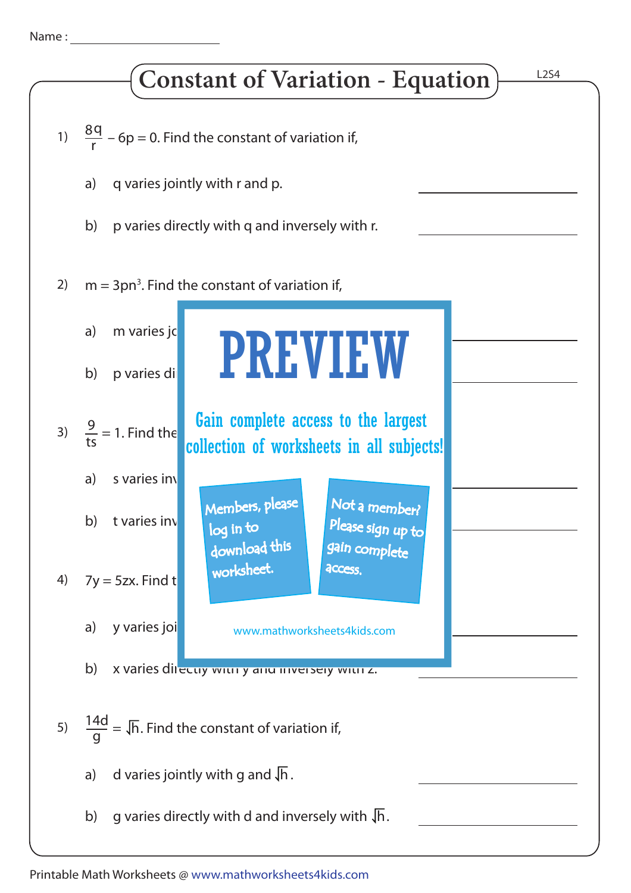